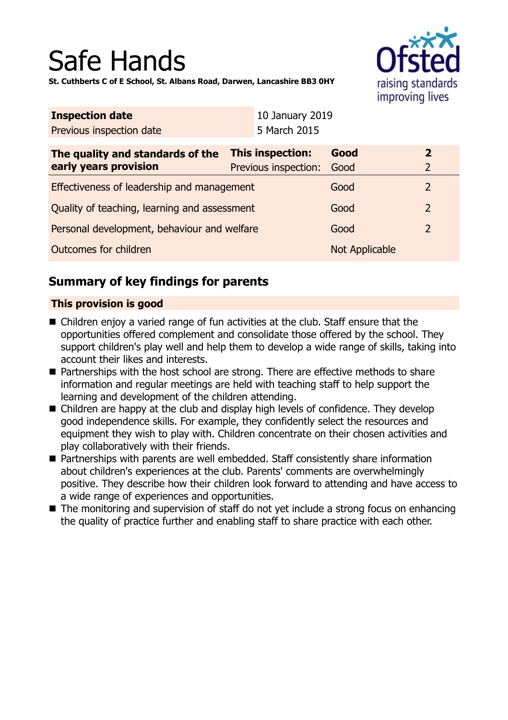# Safe Hands

raising standards improving lives

**St. Cuthberts C of E School, St. Albans Road, Darwen, Lancashire BB3 0HY**

| <b>Inspection date</b>                                    |  | 10 January 2019                          |                       |                                |
|-----------------------------------------------------------|--|------------------------------------------|-----------------------|--------------------------------|
| Previous inspection date                                  |  | 5 March 2015                             |                       |                                |
| The quality and standards of the<br>early years provision |  | This inspection:<br>Previous inspection: | Good<br>Good          | $\mathbf{2}$<br>$\overline{2}$ |
| Effectiveness of leadership and management                |  |                                          | Good                  | $\overline{2}$                 |
| Quality of teaching, learning and assessment              |  |                                          | Good                  | $\overline{2}$                 |
| Personal development, behaviour and welfare               |  |                                          | Good                  | $\overline{2}$                 |
| <b>Outcomes for children</b>                              |  |                                          | <b>Not Applicable</b> |                                |
|                                                           |  |                                          |                       |                                |

## **Summary of key findings for parents**

## **This provision is good**

- $\blacksquare$  Children enjoy a varied range of fun activities at the club. Staff ensure that the opportunities offered complement and consolidate those offered by the school. They support children's play well and help them to develop a wide range of skills, taking into account their likes and interests.
- Partnerships with the host school are strong. There are effective methods to share information and regular meetings are held with teaching staff to help support the learning and development of the children attending.
- $\blacksquare$  Children are happy at the club and display high levels of confidence. They develop good independence skills. For example, they confidently select the resources and equipment they wish to play with. Children concentrate on their chosen activities and play collaboratively with their friends.
- Partnerships with parents are well embedded. Staff consistently share information about children's experiences at the club. Parents' comments are overwhelmingly positive. They describe how their children look forward to attending and have access to a wide range of experiences and opportunities.
- The monitoring and supervision of staff do not yet include a strong focus on enhancing the quality of practice further and enabling staff to share practice with each other.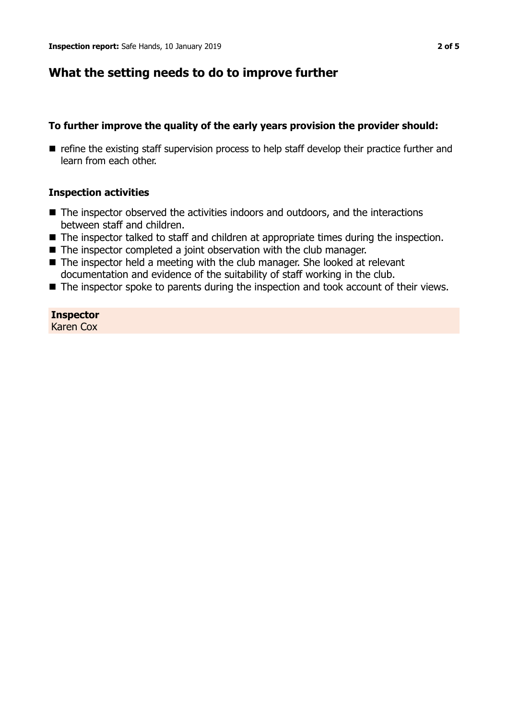## **What the setting needs to do to improve further**

#### **To further improve the quality of the early years provision the provider should:**

**n** refine the existing staff supervision process to help staff develop their practice further and learn from each other.

#### **Inspection activities**

- $\blacksquare$  The inspector observed the activities indoors and outdoors, and the interactions between staff and children.
- $\blacksquare$  The inspector talked to staff and children at appropriate times during the inspection.
- $\blacksquare$  The inspector completed a joint observation with the club manager.
- $\blacksquare$  The inspector held a meeting with the club manager. She looked at relevant documentation and evidence of the suitability of staff working in the club.
- $\blacksquare$  The inspector spoke to parents during the inspection and took account of their views.

**Inspector** Karen Cox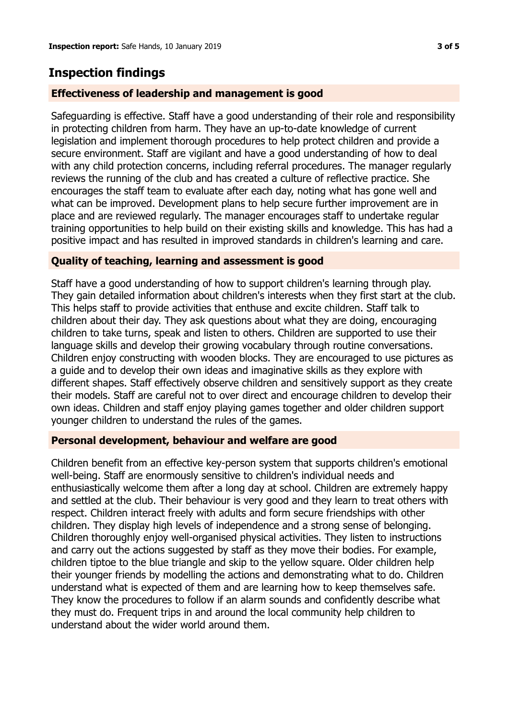# **Inspection findings**

## **Effectiveness of leadership and management is good**

Safeguarding is effective. Staff have a good understanding of their role and responsibility in protecting children from harm. They have an up-to-date knowledge of current legislation and implement thorough procedures to help protect children and provide a secure environment. Staff are vigilant and have a good understanding of how to deal with any child protection concerns, including referral procedures. The manager regularly reviews the running of the club and has created a culture of reflective practice. She encourages the staff team to evaluate after each day, noting what has gone well and what can be improved. Development plans to help secure further improvement are in place and are reviewed regularly. The manager encourages staff to undertake regular training opportunities to help build on their existing skills and knowledge. This has had a positive impact and has resulted in improved standards in children's learning and care.

### **Quality of teaching, learning and assessment is good**

Staff have a good understanding of how to support children's learning through play. They gain detailed information about children's interests when they first start at the club. This helps staff to provide activities that enthuse and excite children. Staff talk to children about their day. They ask questions about what they are doing, encouraging children to take turns, speak and listen to others. Children are supported to use their language skills and develop their growing vocabulary through routine conversations. Children enjoy constructing with wooden blocks. They are encouraged to use pictures as a guide and to develop their own ideas and imaginative skills as they explore with different shapes. Staff effectively observe children and sensitively support as they create their models. Staff are careful not to over direct and encourage children to develop their own ideas. Children and staff enjoy playing games together and older children support younger children to understand the rules of the games.

#### **Personal development, behaviour and welfare are good**

Children benefit from an effective key-person system that supports children's emotional well-being. Staff are enormously sensitive to children's individual needs and enthusiastically welcome them after a long day at school. Children are extremely happy and settled at the club. Their behaviour is very good and they learn to treat others with respect. Children interact freely with adults and form secure friendships with other children. They display high levels of independence and a strong sense of belonging. Children thoroughly enjoy well-organised physical activities. They listen to instructions and carry out the actions suggested by staff as they move their bodies. For example, children tiptoe to the blue triangle and skip to the yellow square. Older children help their younger friends by modelling the actions and demonstrating what to do. Children understand what is expected of them and are learning how to keep themselves safe. They know the procedures to follow if an alarm sounds and confidently describe what they must do. Frequent trips in and around the local community help children to understand about the wider world around them.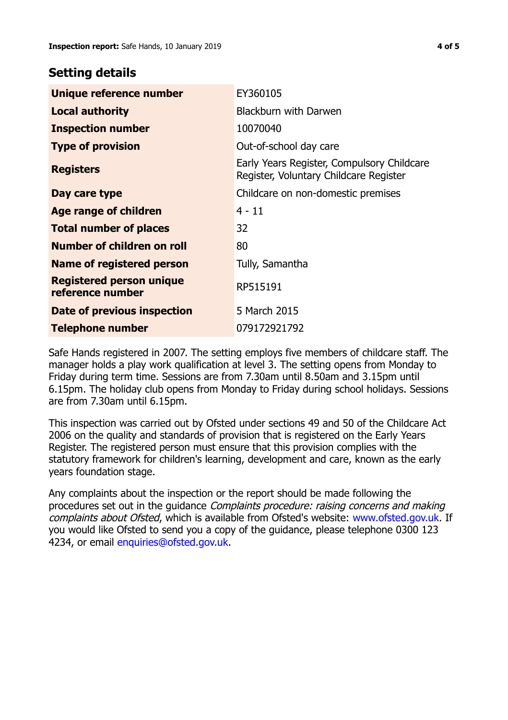## **Setting details**

| Unique reference number                             | EY360105                                                                             |  |
|-----------------------------------------------------|--------------------------------------------------------------------------------------|--|
| <b>Local authority</b>                              | <b>Blackburn with Darwen</b>                                                         |  |
| <b>Inspection number</b>                            | 10070040                                                                             |  |
| <b>Type of provision</b>                            | Out-of-school day care                                                               |  |
| <b>Registers</b>                                    | Early Years Register, Compulsory Childcare<br>Register, Voluntary Childcare Register |  |
| Day care type                                       | Childcare on non-domestic premises                                                   |  |
| <b>Age range of children</b>                        | $4 - 11$                                                                             |  |
| <b>Total number of places</b>                       | 32                                                                                   |  |
| Number of children on roll                          | 80                                                                                   |  |
| Name of registered person                           | Tully, Samantha                                                                      |  |
| <b>Registered person unique</b><br>reference number | RP515191                                                                             |  |
| Date of previous inspection                         | 5 March 2015                                                                         |  |
| Telephone number                                    | 079172921792                                                                         |  |

Safe Hands registered in 2007. The setting employs five members of childcare staff. The manager holds a play work qualification at level 3. The setting opens from Monday to Friday during term time. Sessions are from 7.30am until 8.50am and 3.15pm until 6.15pm. The holiday club opens from Monday to Friday during school holidays. Sessions are from 7.30am until 6.15pm.

This inspection was carried out by Ofsted under sections 49 and 50 of the Childcare Act 2006 on the quality and standards of provision that is registered on the Early Years Register. The registered person must ensure that this provision complies with the statutory framework for children's learning, development and care, known as the early years foundation stage.

Any complaints about the inspection or the report should be made following the procedures set out in the guidance Complaints procedure: raising concerns and making complaints about Ofsted, which is available from Ofsted's website: www.ofsted.gov.uk. If you would like Ofsted to send you a copy of the guidance, please telephone 0300 123 4234, or email [enquiries@ofsted.gov.uk.](mailto:enquiries@ofsted.gov.uk)